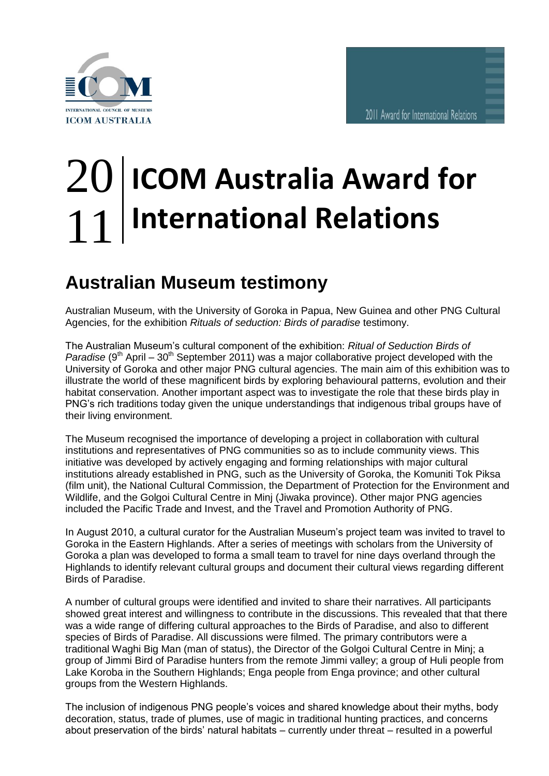

## **ICOM Australia Award for International Relations** 20 11

## **Australian Museum testimony** Au:

Australian Museum, with the University of Goroka in Papua, New Guinea and other PNG Cultural Agencies, for the exhibition *Rituals of seduction: Birds of paradise* testimony.

The Australian Museum's cultural component of the exhibition: *Ritual of Seduction Birds of Paradise*  $(9<sup>th</sup>$  April – 30<sup>th</sup> September 2011) was a major collaborative project developed with the University of Goroka and other major PNG cultural agencies. The main aim of this exhibition was to illustrate the world of these magnificent birds by exploring behavioural patterns, evolution and their habitat conservation. Another important aspect was to investigate the role that these birds play in PNG's rich traditions today given the unique understandings that indigenous tribal groups have of their living environment.

The Museum recognised the importance of developing a project in collaboration with cultural institutions and representatives of PNG communities so as to include community views. This initiative was developed by actively engaging and forming relationships with major cultural institutions already established in PNG, such as the University of Goroka, the Komuniti Tok Piksa (film unit), the National Cultural Commission, the Department of Protection for the Environment and Wildlife, and the Golgoi Cultural Centre in Minj (Jiwaka province). Other major PNG agencies included the Pacific Trade and Invest, and the Travel and Promotion Authority of PNG.

In August 2010, a cultural curator for the Australian Museum's project team was invited to travel to Goroka in the Eastern Highlands. After a series of meetings with scholars from the University of Goroka a plan was developed to forma a small team to travel for nine days overland through the Highlands to identify relevant cultural groups and document their cultural views regarding different Birds of Paradise.

A number of cultural groups were identified and invited to share their narratives. All participants showed great interest and willingness to contribute in the discussions. This revealed that that there was a wide range of differing cultural approaches to the Birds of Paradise, and also to different species of Birds of Paradise. All discussions were filmed. The primary contributors were a traditional Waghi Big Man (man of status), the Director of the Golgoi Cultural Centre in Minj; a group of Jimmi Bird of Paradise hunters from the remote Jimmi valley; a group of Huli people from Lake Koroba in the Southern Highlands; Enga people from Enga province; and other cultural groups from the Western Highlands.

The inclusion of indigenous PNG people's voices and shared knowledge about their myths, body decoration, status, trade of plumes, use of magic in traditional hunting practices, and concerns about preservation of the birds' natural habitats – currently under threat – resulted in a powerful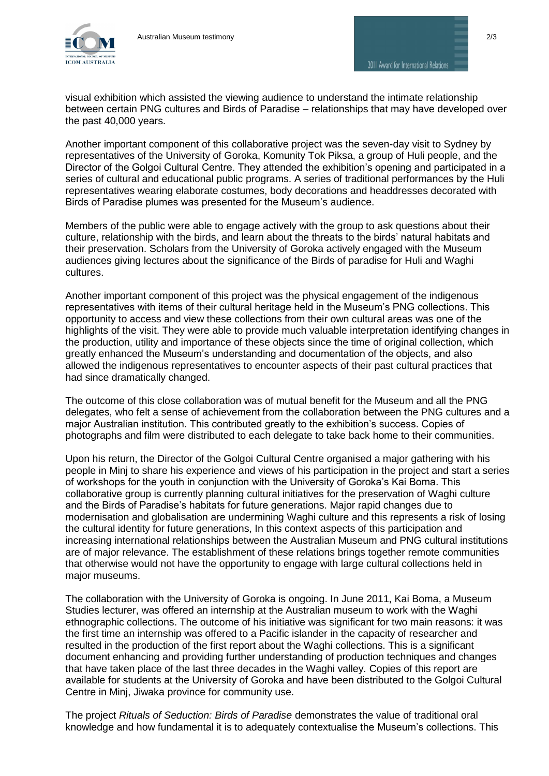

2011 Award for International Relations

visual exhibition which assisted the viewing audience to understand the intimate relationship between certain PNG cultures and Birds of Paradise – relationships that may have developed over the past 40,000 years.

Another important component of this collaborative project was the seven-day visit to Sydney by representatives of the University of Goroka, Komunity Tok Piksa, a group of Huli people, and the Director of the Golgoi Cultural Centre. They attended the exhibition's opening and participated in a series of cultural and educational public programs. A series of traditional performances by the Huli representatives wearing elaborate costumes, body decorations and headdresses decorated with Birds of Paradise plumes was presented for the Museum's audience.

Members of the public were able to engage actively with the group to ask questions about their culture, relationship with the birds, and learn about the threats to the birds' natural habitats and their preservation. Scholars from the University of Goroka actively engaged with the Museum audiences giving lectures about the significance of the Birds of paradise for Huli and Waghi cultures.

Another important component of this project was the physical engagement of the indigenous representatives with items of their cultural heritage held in the Museum's PNG collections. This opportunity to access and view these collections from their own cultural areas was one of the highlights of the visit. They were able to provide much valuable interpretation identifying changes in the production, utility and importance of these objects since the time of original collection, which greatly enhanced the Museum's understanding and documentation of the objects, and also allowed the indigenous representatives to encounter aspects of their past cultural practices that had since dramatically changed.

The outcome of this close collaboration was of mutual benefit for the Museum and all the PNG delegates, who felt a sense of achievement from the collaboration between the PNG cultures and a major Australian institution. This contributed greatly to the exhibition's success. Copies of photographs and film were distributed to each delegate to take back home to their communities.

Upon his return, the Director of the Golgoi Cultural Centre organised a major gathering with his people in Minj to share his experience and views of his participation in the project and start a series of workshops for the youth in conjunction with the University of Goroka's Kai Boma. This collaborative group is currently planning cultural initiatives for the preservation of Waghi culture and the Birds of Paradise's habitats for future generations. Major rapid changes due to modernisation and globalisation are undermining Waghi culture and this represents a risk of losing the cultural identity for future generations, In this context aspects of this participation and increasing international relationships between the Australian Museum and PNG cultural institutions are of major relevance. The establishment of these relations brings together remote communities that otherwise would not have the opportunity to engage with large cultural collections held in major museums.

The collaboration with the University of Goroka is ongoing. In June 2011, Kai Boma, a Museum Studies lecturer, was offered an internship at the Australian museum to work with the Waghi ethnographic collections. The outcome of his initiative was significant for two main reasons: it was the first time an internship was offered to a Pacific islander in the capacity of researcher and resulted in the production of the first report about the Waghi collections. This is a significant document enhancing and providing further understanding of production techniques and changes that have taken place of the last three decades in the Waghi valley. Copies of this report are available for students at the University of Goroka and have been distributed to the Golgoi Cultural Centre in Minj, Jiwaka province for community use.

The project *Rituals of Seduction: Birds of Paradise* demonstrates the value of traditional oral knowledge and how fundamental it is to adequately contextualise the Museum's collections. This